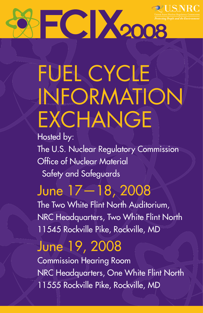

# FUEL CYCLE INFORMATION **EXCHANGE**

Hosted by:

The U.S. Nuclear Regulatory Commission Office of Nuclear Material Safety and Safeguards

## June 17—18, 2008

The Two White Flint North Auditorium, NRC Headquarters, Two White Flint North 11545 Rockville Pike, Rockville, MD

## June 19, 2008

Commission Hearing Room NRC Headquarters, One White Flint North 11555 Rockville Pike, Rockville, MD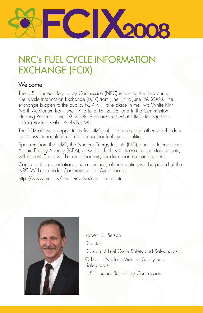

## NRC's FUEL CYCLE INFORMATION EXCHANGE (FCIX)

#### Welcome!

The U.S. Nuclear Regulatory Commission (NRC) is hosting the third annual Fuel Cycle Information Exchange (FCIX) from June 17 to June 19, 2008. The exchange is open to the public. FCIX will take place in the Two White Flint North Auditorium from June 17 to June 18, 2008, and in the Commission Hearing Room on June 19, 2008. Both are located at NRC Headquarters, 11555 Rockville Pike, Rockville, MD.

The FCIX allows an opportunity for NRC staff, licensees, and other stakeholders to discuss the regulation of civilian nuclear fuel cycle facilities.

Speakers from the NRC, the Nuclear Energy Institute (NEI), and the International Atomic Energy Agency (IAEA), as well as fuel cycle licensees and stakeholders, will present. There will be an opportunity for discussion on each subject.

Copies of the presentations and a summary of the meeting will be posted at the NRC Web site under Conferences and Symposia at:

http://www.nrc.gov/public-involve/conferences.html



Robert C. Pierson **Director** Division of Fuel Cycle Safety and Safeguards Office of Nuclear Material Safety and Safeguards

U.S. Nuclear Regulatory Commission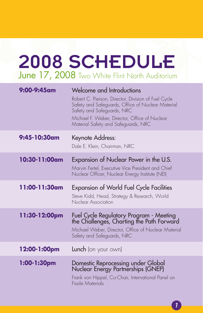## June 17, 2008 Two White Flint North Auditorium 2008 SCHEDULE

| 9:00-9:45am   | Welcome and Introductions<br>Robert C. Pierson, Director, Division of Fuel Cycle<br>Safety and Safeguards, Office of Nuclear Material<br>Safety and Safeguards, NRC<br>Michael F. Weber, Director, Office of Nuclear<br>Material Safety and Safeguards, NRC |
|---------------|-------------------------------------------------------------------------------------------------------------------------------------------------------------------------------------------------------------------------------------------------------------|
| 9:45-10:30am  | Keynote Address:<br>Dale E. Klein, Chairman, NRC                                                                                                                                                                                                            |
| 10:30-11:00am | Expansion of Nuclear Power in the U.S.<br>Marvin Fertel, Executive Vice President and Chief<br>Nuclear Officer, Nuclear Energy Institute (NEI)                                                                                                              |
| 11:00-11:30am | <b>Expansion of World Fuel Cycle Facilities</b><br>Steve Kidd, Head, Strategy & Research, World<br>Nuclear Association                                                                                                                                      |
| 11:30-12:00pm | Fuel Cycle Regulatory Program - Meeting<br>the Challenges, Charting the Path Forward<br>Michael Weber, Director, Office of Nuclear Material<br>Safety and Safeguards, NRC                                                                                   |
| 12:00-1:00pm  | <b>Lunch</b> (on your own)                                                                                                                                                                                                                                  |
| 1:00-1:30pm   | Domestic Reprocessing under Global<br>Nuclear Energy Partnerships (GNEP)<br>Frank von Hippel, Co-Chair, International Panel on<br><b>Fissile Materials</b>                                                                                                  |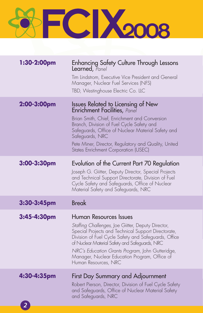

| 1:30-2:00pm | Enhancing Safety Culture Through Lessons<br>Learned, Panel<br>Tim Lindstrom, Executive Vice President and General<br>Manager, Nuclear Fuel Services (NFS)<br>TBD, Westinghouse Electric Co. LLC                                                                                                                                                                            |
|-------------|----------------------------------------------------------------------------------------------------------------------------------------------------------------------------------------------------------------------------------------------------------------------------------------------------------------------------------------------------------------------------|
| 2:00-3:00pm | <b>Issues Related to Licensing of New</b><br><b>Enrichment Facilities</b> , Panel<br>Brian Smith, Chief, Enrichment and Conversion<br>Branch, Division of Fuel Cycle Safety and<br>Safeguards, Office of Nuclear Material Safety and<br>Safeguards, NRC<br>Pete Miner, Director, Regulatory and Quality, United<br>States Enrichment Corporation (USEC)                    |
| 3:00-3:30pm | Evolution of the Current Part 70 Regulation<br>Joseph G. Giitter, Deputy Director, Special Projects<br>and Technical Support Directorate, Division of Fuel<br>Cycle Safety and Safeguards, Office of Nuclear<br>Material Safety and Safeguards, NRC                                                                                                                        |
| 3:30-3:45pm | <b>Break</b>                                                                                                                                                                                                                                                                                                                                                               |
| 3:45-4:30pm | Human Resources Issues<br>Staffing Challenges, Joe Giitter, Deputy Director,<br>Special Projects and Technical Support Directorate,<br>Division of Fuel Cycle Safety and Safeguards, Office<br>of Nuclear Material Safety and Safeguards, NRC<br>NRC's Education Grants Program, John Gutteridge,<br>Manager, Nuclear Education Program, Office of<br>Human Resources, NRC |
| 4:30-4:35pm | First Day Summary and Adjournment<br>Robert Pierson, Director, Division of Fuel Cycle Safety<br>and Safeguards, Office of Nuclear Material Safety<br>and Safeguards, NRC                                                                                                                                                                                                   |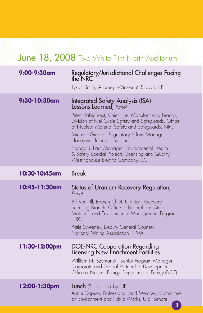## June 18, 2008 Two White Flint North Auditorium

| 9:00-9:30am   | Regulatory/Jurisdictional Challenges Facing<br>the NRC<br>Tyson Smith, Attorney, Winston & Strawn, LLP                                                                                                                                                                                                                                                                                                                                                 |
|---------------|--------------------------------------------------------------------------------------------------------------------------------------------------------------------------------------------------------------------------------------------------------------------------------------------------------------------------------------------------------------------------------------------------------------------------------------------------------|
| 9:30-10:30am  | Integrated Safety Analysis (ISA)<br>Lessons Learned, Panel<br>Peter Habighorst, Chief, Fuel Manufacturing Branch,<br>Division of Fuel Cycle Safety and Safeguards, Office<br>of Nuclear Material Safety and Safeguards, NRC<br>Michael Greeno, Regulatory Affairs Manager,<br>Honeywell International, Inc.<br>Nancy B. Parr, Manager, Environmental Health<br>& Safety Special Projects, Licensing and Quality,<br>Westinghouse Electric Company, LLC |
| 10:30-10:45am | <b>Break</b>                                                                                                                                                                                                                                                                                                                                                                                                                                           |
| 10:45-11:30am | Status of Uranium Recovery Regulation,<br>Panel<br>Bill Von Till, Branch Chief, Uranium Recovery<br>Licensing Branch, Office of Federal and State<br>Materials and Environmental Management Programs,<br><b>NRC</b><br>Katie Sweeney, Deputy General Counsel,<br>National Mining Association (NMA)                                                                                                                                                     |
| 11:30-12:00pm | DOE-NRC Cooperation Regarding<br>Licensing New Enrichment Facilities<br>William N. Szymanski, Senior Program Manager,<br>Corporate and Global Partnership Development,<br>Office of Nuclear Energy, Department of Energy (DOE)                                                                                                                                                                                                                         |
| 12:00-1:30pm  | <b>Lunch</b> (Sponsored by NEI)<br>Annie Caputo, Professional Staff Member, Committee<br>on Environment and Public Works, U.S. Senate                                                                                                                                                                                                                                                                                                                  |

*3*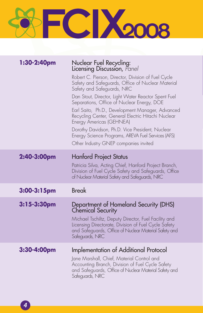

| 1:30-2:40pm    | Nuclear Fuel Recycling:<br>Licensing Discussion, Panel                                                                                                                                                                                     |
|----------------|--------------------------------------------------------------------------------------------------------------------------------------------------------------------------------------------------------------------------------------------|
|                | Robert C. Pierson, Director, Division of Fuel Cycle<br>Safety and Safeguards, Office of Nuclear Material<br>Safety and Safeguards, NRC                                                                                                     |
|                | Dan Stout, Director, Light Water Reactor Spent Fuel<br>Separations, Office of Nuclear Energy, DOE                                                                                                                                          |
|                | Earl Saito, Ph.D., Development Manager, Advanced<br>Recycling Center, General Electric Hitachi Nuclear<br>Energy Americas (GEHNEA)                                                                                                         |
|                | Dorothy Davidson, Ph.D. Vice President, Nuclear<br>Energy Science Programs, AREVA Fuel Services (AFS)<br>Other Industry GNEP companies invited                                                                                             |
| 2:40-3:00pm    | <b>Hanford Project Status</b>                                                                                                                                                                                                              |
|                | Patricia Silva, Acting Chief, Hanford Project Branch,<br>Division of Fuel Cycle Safety and Safeguards, Office<br>of Nuclear Material Safety and Safeguards, NRC                                                                            |
|                |                                                                                                                                                                                                                                            |
| $3:00-3:15$ pm | <b>Break</b>                                                                                                                                                                                                                               |
| 3:15-3:30pm    | Department of Homeland Security (DHS)<br><b>Chemical Security</b><br>Michael Tschiltz, Deputy Director, Fuel Facility and<br>Licensing Directorate, Division of Fuel Cycle Safety<br>and Safeguards, Office of Nuclear Material Safety and |
| 3:30-4:00pm    | Safeguards, NRC<br>Implementation of Additional Protocol                                                                                                                                                                                   |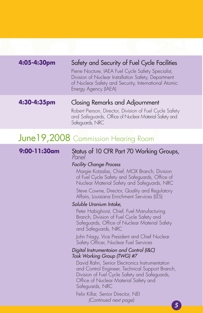| 4:05-4:30pm | Safety and Security of Fuel Cycle Facilities                                                                                                                                              |
|-------------|-------------------------------------------------------------------------------------------------------------------------------------------------------------------------------------------|
|             | Pierre Nocture, IAEA Fuel Cycle Safety Specialist,<br>Division of Nuclear Installation Safety, Department<br>of Nuclear Safety and Security, International Atomic<br>Energy Agency (IAEA) |
|             |                                                                                                                                                                                           |
| 4:30-4:35pm | Closing Remarks and Adjournment                                                                                                                                                           |
|             | Robert Pierson, Director, Division of Fuel Cycle Safety<br>and Safeguards, Office of Nuclear Material Safety and<br>Safeguards, NRC                                                       |

### June19,2008 Commission Hearing Room

#### **9:00-11:30am** Status of 10 CFR Part 70 Working Groups, *Panel*

#### *Facility Change Process*

Margie Kotzalas, Chief, MOX Branch, Division of Fuel Cycle Safety and Safeguards, Office of Nuclear Material Safety and Safeguards, NRC

Steve Cowne, Director, Quality and Regulatory Affairs, Louisiana Enrichment Services (LES)

#### *Soluble Uranium Intake,*

Peter Habighorst, Chief, Fuel Manufacturing Branch, Division of Fuel Cycle Safety and Safeguards, Office of Nuclear Material Safety and Safeguards, NRC

John Nagy, Vice President and Chief Nuclear Safety Officer, Nuclear Fuel Services

#### *Digital Instrumentaion and Control (I&C) Task Working Group (TWG) #7*

David Rahn, Senior Electronics Instrumentation and Control Engineer, Technical Support Branch, Division of Fuel Cycle Safety and Safeguards, Office of Nuclear Material Safety and Safeguards, NRC

Felix Killar, Senior Director, NEI  *(Continued next page)*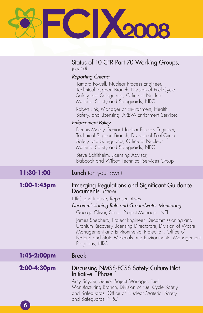## FCIX2008 P

|                | Status of 10 CFR Part 70 Working Groups,<br> cont'd                                                                                                                                                                                                                                                                                                                                                                                                                                                                                                                                                                           |
|----------------|-------------------------------------------------------------------------------------------------------------------------------------------------------------------------------------------------------------------------------------------------------------------------------------------------------------------------------------------------------------------------------------------------------------------------------------------------------------------------------------------------------------------------------------------------------------------------------------------------------------------------------|
|                | Reporting Criteria<br>Tamara Powell, Nuclear Process Engineer,<br>Technical Support Branch, Division of Fuel Cycle<br>Safety and Safeguards, Office of Nuclear<br>Material Safety and Safeguards, NRC<br>Robert Link, Manager of Environment, Health,<br>Safety, and Licensing, AREVA Enrichment Services<br><b>Enforcement Policy</b><br>Dennis Morey, Senior Nuclear Process Engineer,<br>Technical Support Branch, Division of Fuel Cycle<br>Safety and Safeguards, Office of Nuclear<br>Material Safety and Safeguards, NRC<br>Steve Schilthelm, Licensing Advisor,<br><b>Babcock and Wilcox Technical Services Group</b> |
| 11:30-1:00     | <b>Lunch</b> (on your own)                                                                                                                                                                                                                                                                                                                                                                                                                                                                                                                                                                                                    |
| $1:00-1:45$ pm | <b>Emerging Regulations and Significant Guidance</b><br>Documents, Panel<br>NRC and Industry Representatives<br>Decommissioning Rule and Groundwater Monitoring<br>George Oliver, Senior Project Manager, NEI<br>James Shepherd, Project Engineer, Decommissioning and<br>Uranium Recovery Licensing Directorate, Division of Waste<br>Management and Environmental Protection, Office of<br>Federal and State Materials and Environmental Management<br>Programs, NRC                                                                                                                                                        |
| 1:45-2:00pm    | <b>Break</b>                                                                                                                                                                                                                                                                                                                                                                                                                                                                                                                                                                                                                  |
| 2:00-4:30pm    | Discussing NMSS-FCSS Safety Culture Pilot<br>Initiative—Phase 1                                                                                                                                                                                                                                                                                                                                                                                                                                                                                                                                                               |

*6*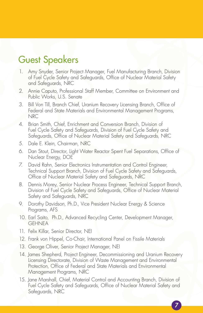### Guest Speakers

- 1. Amy Snyder, Senior Project Manager, Fuel Manufacturing Branch, Division of Fuel Cycle Safety and Safeguards, Office of Nuclear Material Safety and Safeguards, NRC
- 2. Annie Caputo, Professional Staff Member, Committee on Environment and Public Works, U.S. Senate
- 3. Bill Von Till, Branch Chief, Uranium Recovery Licensing Branch, Office of Federal and State Materials and Environmental Management Programs, **NRC**
- 4. Brian Smith, Chief, Enrichment and Conversion Branch, Division of Fuel Cycle Safety and Safeguards, Division of Fuel Cycle Safety and Safeguards, Office of Nuclear Material Safety and Safeguards, NRC
- 5. Dale E. Klein, Chairman, NRC
- 6. Dan Stout, Director, Light Water Reactor Spent Fuel Separations, Office of Nuclear Energy, DOE
- 7. David Rahn, Senior Electronics Instrumentation and Control Engineer, Technical Support Branch, Division of Fuel Cycle Safety and Safeguards, Office of Nuclear Material Safety and Safeguards, NRC
- 8. Dennis Morey, Senior Nuclear Process Engineer, Technical Support Branch, Division of Fuel Cycle Safety and Safeguards, Office of Nuclear Material Safety and Safeguards, NRC
- 9. Dorothy Davidson, Ph.D., Vice President Nuclear Energy & Science Programs, AFS
- 10. Earl Saito, Ph.D., Advanced Recycling Center, Development Manager, GEHNEA
- 11. Felix Killar, Senior Director, NEI
- 12. Frank von Hippel, Co-Chair, International Panel on Fissile Materials
- 13. George Oliver, Senior Project Manager, NEI
- 14. James Shepherd, Project Engineer, Decommissioning and Uranium Recovery Licensing Directorate, Division of Waste Management and Environmental Protection, Office of Federal and State Materials and Environmental Management Programs, NRC
- 15. Jane Marshall, Chief, Material Control and Accounting Branch, Division of Fuel Cycle Safety and Safeguards, Office of Nuclear Material Safety and Safeguards, NRC

*7*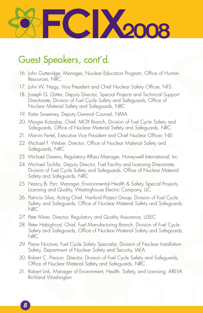

### Guest Speakers, cont'd.

- 16. John Gutteridge, Manager, Nuclear Education Program, Office of Human Resources, NRC
- 17. John W. Nagy, Vice President and Chief Nuclear Safety Officer, NFS
- 18. Joseph G. Giitter, Deputy Director, Special Projects and Technical Support Directorate, Division of Fuel Cycle Safety and Safeguards, Office of Nuclear Material Safety and Safeguards, NRC
- 19. Katie Sweeney, Deputy General Counsel, NMA
- 20. Margie Kotzalas, Chief, MOX Branch, Division of Fuel Cycle Safety and Safeguards, Office of Nuclear Material Safety and Safeguards, NRC
- 21. Marvin Fertel, Executive Vice President and Chief Nuclear Officer, NEI
- 22. Michael F. Weber, Director, Office of Nuclear Material Safety and Safeguards, NRC
- 23. Michael Greeno, Regulatory Affairs Manager, Honeywell International, Inc.
- 24. Michael Tschiltz, Deputy Director, Fuel Facility and Licensing Directorate, Division of Fuel Cycle Safety and Safeguards, Office of Nuclear Material Safety and Safeguards, NRC
- 25. Nancy B. Parr, Manager, Environmental Health & Safety Special Projects, Licensing and Quality, Westinghouse Electric Company, LLC
- 26. Patricia Silva, Acting Chief, Hanford Project Group, Division of Fuel Cycle Safety and Safeguards, Office of Nuclear Material Safety and Safeguards, NRC
- 27. Pete Miner, Director, Regulatory and Quality Assurance, USEC
- 28. Peter Habighorst, Chief, Fuel Manufacturing Branch, Division of Fuel Cycle Safety and Safeguards, Office of Nuclear Material Safety and Safeguards, NRC
- 29. Pierre Nocture, Fuel Cycle Safety Specialist, Division of Nuclear Installation Safety, Department of Nuclear Safety and Security, IAEA
- 30. Robert C. Pierson, Director, Division of Fuel Cycle Safety and Safeguards, Office of Nuclear Material Safety and Safeguards, NRC
- 31. Robert Link, Manager of Environment, Health, Safety, and Licensing, AREVA Richland Washington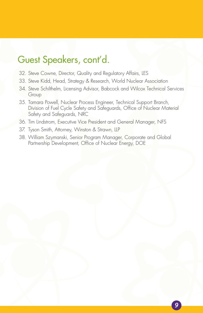### Guest Speakers, cont'd.

- 32. Steve Cowne, Director, Quality and Regulatory Affairs, LES
- 33. Steve Kidd, Head, Strategy & Research, World Nuclear Association
- 34. Steve Schilthelm, Licensing Advisor, Babcock and Wilcox Technical Services Group
- 35. Tamara Powell, Nuclear Process Engineer, Technical Support Branch, Division of Fuel Cycle Safety and Safeguards, Office of Nuclear Material Safety and Safeguards, NRC
- 36. Tim Lindstrom, Executive Vice President and General Manager, NFS
- 37. Tyson Smith, Attorney, Winston & Strawn, LLP
- 38. William Szymanski, Senior Program Manager, Corporate and Global Partnership Development, Office of Nuclear Energy, DOE